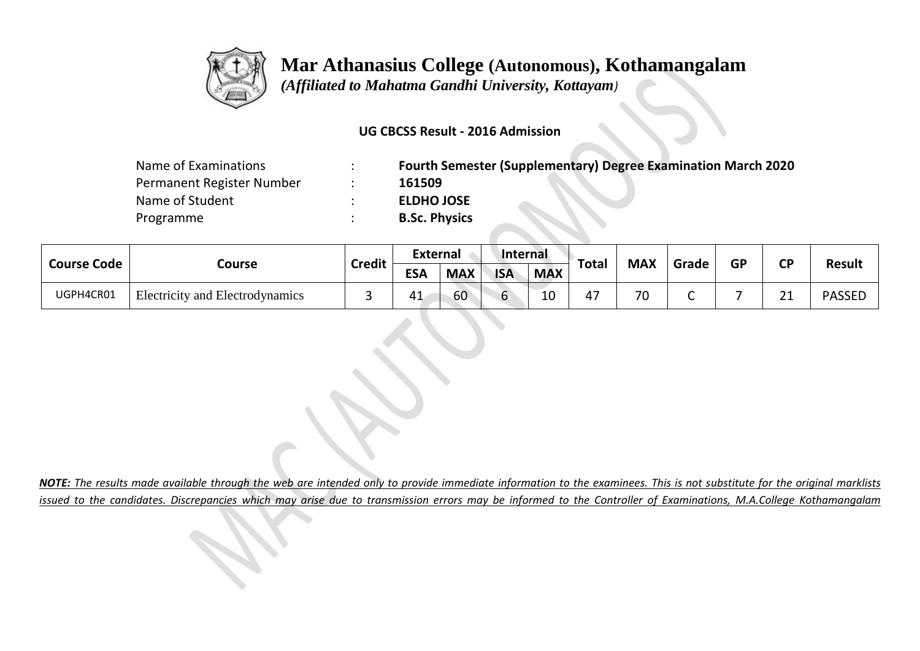

# **Mar Athanasius College (Autonomous), Kothamangalam**

 *(Affiliated to Mahatma Gandhi University, Kottayam)*

### **UG CBCSS Result - 2016 Admission**

| Name of Examinations      | <b>Fourth Semester (Supplementary) Degree Examination March 2020</b> |
|---------------------------|----------------------------------------------------------------------|
| Permanent Register Number | 161509                                                               |
| Name of Student           | <b>ELDHO JOSE</b>                                                    |
| Programme                 | <b>B.Sc. Physics</b>                                                 |

| <b>Course Code</b> |                                 | <b>Credit</b> | <b>External</b> |            | Internal   |            |       | <b>MAX</b> |       | <b>GP</b> | CP      | <b>Result</b> |
|--------------------|---------------------------------|---------------|-----------------|------------|------------|------------|-------|------------|-------|-----------|---------|---------------|
|                    | Course                          |               | <b>ESA</b>      | <b>MAX</b> | <b>ISA</b> | <b>MAX</b> | Total |            | Grade |           |         |               |
| UGPH4CR01          | Electricity and Electrodynamics |               | 41              | 60         | -          | 10         |       | 70         |       |           | 21<br>ᅀ | <b>PASSEL</b> |

*NOTE: The results made available through the web are intended only to provide immediate information to the examinees. This is not substitute for the original marklists issued to the candidates. Discrepancies which may arise due to transmission errors may be informed to the Controller of Examinations, M.A.College Kothamangalam*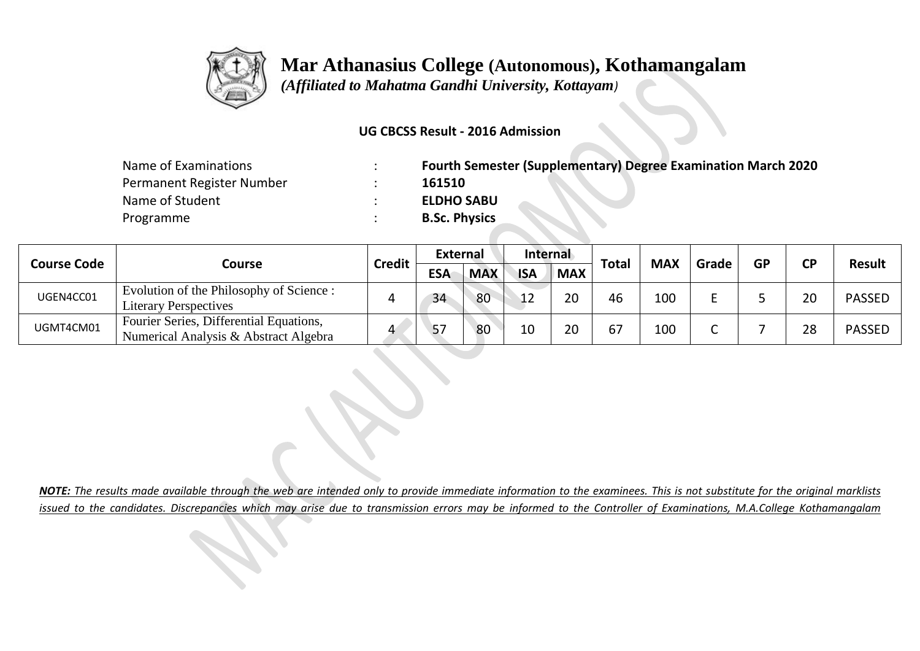

## **Mar Athanasius College (Autonomous), Kothamangalam**

 *(Affiliated to Mahatma Gandhi University, Kottayam)*

### **UG CBCSS Result - 2016 Admission**

| Name of Examinations      | <b>Fourth Semester (Supplementary) Degree Examination March 2020</b> |
|---------------------------|----------------------------------------------------------------------|
| Permanent Register Number | 161510                                                               |
| Name of Student           | <b>ELDHO SABU</b>                                                    |
| Programme                 | <b>B.Sc. Physics</b>                                                 |

|                    |                                                                                  | <b>Credit</b> | <b>External</b> |            | <b>Internal</b> |            |       | <b>MAX</b> |       | GP | СD |               |
|--------------------|----------------------------------------------------------------------------------|---------------|-----------------|------------|-----------------|------------|-------|------------|-------|----|----|---------------|
| <b>Course Code</b> | Course                                                                           |               | <b>ESA</b>      | <b>MAX</b> | <b>ISA</b>      | <b>MAX</b> | Total |            | Grade |    |    | <b>Result</b> |
| UGEN4CC01          | Evolution of the Philosophy of Science:<br><b>Literary Perspectives</b>          |               | 34              | 80         | $\sqrt{1}$      | 20         | 46    | 100        |       |    | 20 | <b>PASSED</b> |
| UGMT4CM01          | Fourier Series, Differential Equations,<br>Numerical Analysis & Abstract Algebra |               |                 | 80         | 10              | 20         | 67    | 100        |       |    | 28 | <b>PASSED</b> |

*NOTE: The results made available through the web are intended only to provide immediate information to the examinees. This is not substitute for the original marklists issued to the candidates. Discrepancies which may arise due to transmission errors may be informed to the Controller of Examinations, M.A.College Kothamangalam*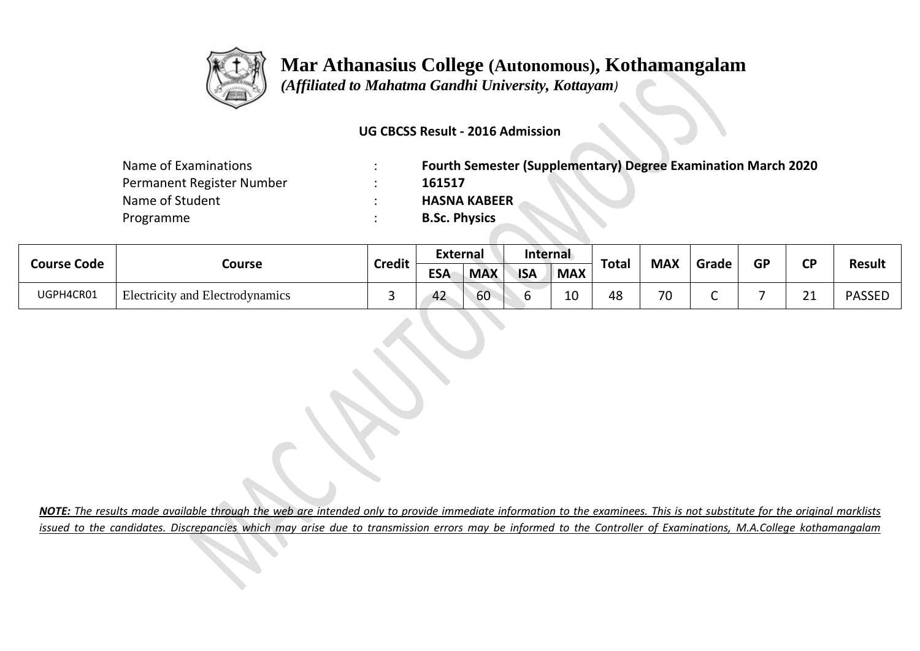

### **Mar Athanasius College (Autonomous), Kothamangalam**

 *(Affiliated to Mahatma Gandhi University, Kottayam)*

### **UG CBCSS Result - 2016 Admission**

| Name of Examinations      | <b>Fourth Semester (Supplementary) Degree Examination March 2020</b> |
|---------------------------|----------------------------------------------------------------------|
| Permanent Register Number | 161517                                                               |
| Name of Student           | <b>HASNA KABEER</b>                                                  |
| Programme                 | <b>B.Sc. Physics</b>                                                 |

| <b>Course Code</b> |                                        | <b>Credit</b> | Internal<br>External<br><b>MAX</b> | Grade      | <b>GP</b>  | σD         |       |    |  |  |                    |               |
|--------------------|----------------------------------------|---------------|------------------------------------|------------|------------|------------|-------|----|--|--|--------------------|---------------|
|                    | Course                                 |               | <b>ESA</b>                         | <b>MAX</b> | <b>ISA</b> | <b>MAX</b> | Total |    |  |  |                    | <b>Result</b> |
| UGPH4CR01          | <b>Electricity and Electrodynamics</b> |               | 42                                 | 60         |            | 10         | 48    | 70 |  |  | $\mathbf{A}$<br>__ | <b>PASSED</b> |

*NOTE: The results made available through the web are intended only to provide immediate information to the examinees. This is not substitute for the original marklists issued to the candidates. Discrepancies which may arise due to transmission errors may be informed to the Controller of Examinations, M.A.College kothamangalam*